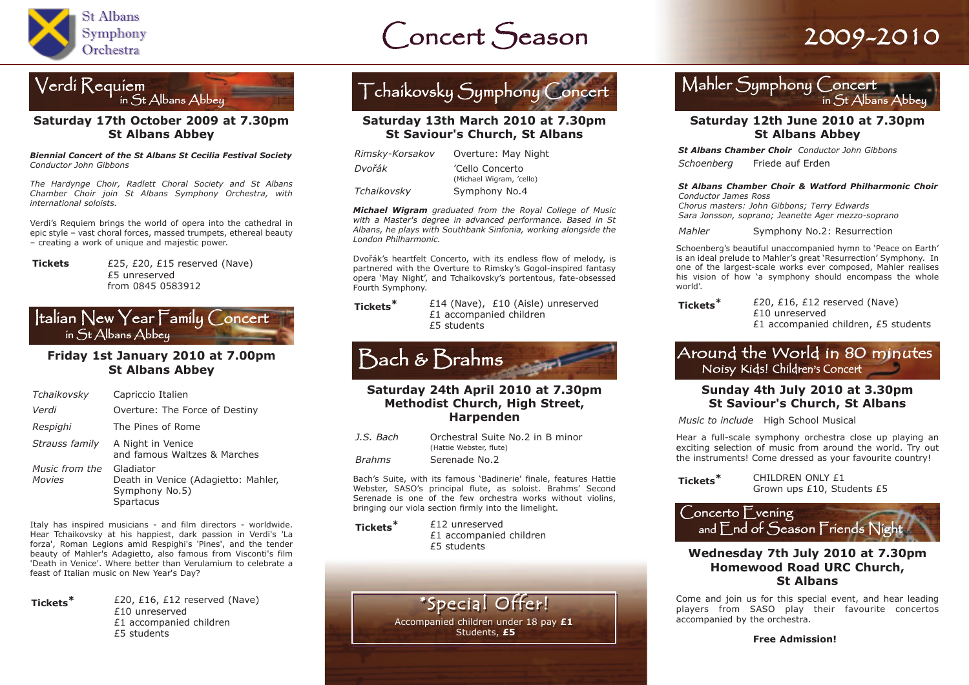

## Concert Season 2009-2010



#### **Saturday 17th October 2009 at 7.30pm St Albans Abbey**

*Biennial Concert of the St Albans St Cecilia Festival Society Conductor John Gibbons*

*The Hardynge Choir, Radlett Choral Society and St Albans Chamber Choir join St Albans Symphony Orchestra, with international soloists.*

Verdi's Requiem brings the world of opera into the cathedral in epic style – vast choral forces, massed trumpets, ethereal beauty – creating a work of unique and majestic power.

**Tickets** £25, £20, £15 reserved (Nave) £5 unreserved from 0845 0583912

#### Italian New Year Family Concert in St Albans Abbey

#### **Friday 1st January 2010 at 7.00pm St Albans Abbey**

| Tchaikovsky              | Capriccio Italien                                                               |
|--------------------------|---------------------------------------------------------------------------------|
| Verdi                    | Overture: The Force of Destiny                                                  |
| Respighi                 | The Pines of Rome                                                               |
| Strauss family           | A Night in Venice<br>and famous Waltzes & Marches                               |
| Music from the<br>Movies | Gladiator<br>Death in Venice (Adagietto: Mahler,<br>Symphony No.5)<br>Spartacus |

Italy has inspired musicians - and film directors - worldwide. Hear Tchaikovsky at his happiest, dark passion in Verdi's 'La forza', Roman Legions amid Respighi's 'Pines', and the tender beauty of Mahler's Adagietto, also famous from Visconti's film 'Death in Venice'. Where better than Verulamium to celebrate a feast of Italian music on New Year's Day?



**Tickets\*** £20, £16, £12 reserved (Nave) £10 unreserved £1 accompanied children £5 students



#### **Saturday 13th March 2010 at 7.30pm St Saviour's Church, St Albans**

| Rimsky-Korsakov | Overture: May Night                         |
|-----------------|---------------------------------------------|
| Dvořák          | 'Cello Concerto<br>(Michael Wigram, 'cello) |
| Tchaikovsky     | Symphony No.4                               |

*Michael Wigram graduated from the Royal College of Music with a Master's degree in advanced performance. Based in St Albans, he plays with Southbank Sinfonia, working alongside the London Philharmonic.*

Dvořák's heartfelt Concerto, with its endless flow of melody, is partnered with the Overture to Rimsky's Gogol-inspired fantasy opera 'May Night', and Tchaikovsky's portentous, fate-obsessed Fourth Symphony.

**Tickets\*** £14 (Nave), £10 (Aisle) unreserved £1 accompanied children £5 students

## Bach & Brahms

#### **Saturday 24th April 2010 at 7.30pm Methodist Church, High Street, Harpenden**

| J.S. Bach     | Orchestral Suite No.2 in B minor |
|---------------|----------------------------------|
|               | (Hattie Webster, flute)          |
| <b>Brahms</b> | Serenade No.2                    |

Bach's Suite, with its famous 'Badinerie' finale, features Hattie Webster, SASO's principal flute, as soloist. Brahms' Second Serenade is one of the few orchestra works without violins, bringing our viola section firmly into the limelight.

**Tickets\*** £12 unreserved £1 accompanied children £5 students



### Mahler Symphony Concert in St Albans Abbe

#### **Saturday 12th June 2010 at 7.30pm St Albans Abbey**

*St Albans Chamber Choir Conductor John Gibbons Schoenberg* Friede auf Erden

*St Albans Chamber Choir & Watford Philharmonic Choir Conductor James Ross*

*Chorus masters: John Gibbons; Terry Edwards Sara Jonsson, soprano; Jeanette Ager mezzo-soprano*

*Mahler* Symphony No.2: Resurrection

Schoenberg's beautiful unaccompanied hymn to 'Peace on Earth' is an ideal prelude to Mahler's great 'Resurrection' Symphony. In one of the largest-scale works ever composed, Mahler realises his vision of how 'a symphony should encompass the whole world'.

**Tickets\*** £20, £16, £12 reserved (Nave) £10 unreserved £1 accompanied children, £5 students

#### Around the World in 80 minutes Noisy Kids! Children's Concert

#### **Sunday 4th July 2010 at 3.30pm St Saviour's Church, St Albans**

*Music to include* High School Musical

Hear a full-scale symphony orchestra close up playing an exciting selection of music from around the world. Try out the instruments! Come dressed as your favourite country!

**Tickets\*** CHILDREN ONLY £1 Grown ups £10, Students £5



#### **Wednesday 7th July 2010 at 7.30pm Homewood Road URC Church, St Albans**

Come and join us for this special event, and hear leading players from SASO play their favourite concertos accompanied by the orchestra.

**Free Admission!**